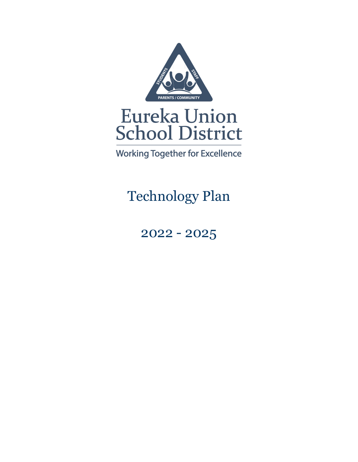

**Working Together for Excellence** 

Technology Plan

2022 - 2025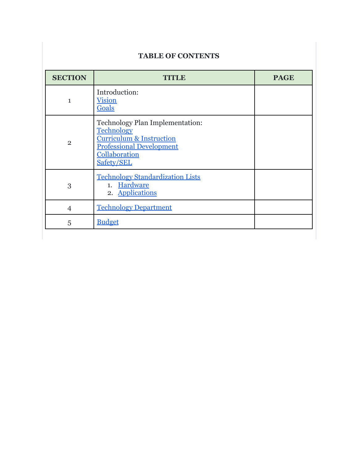## **TABLE OF CONTENTS**

| <b>SECTION</b> | TITIAR                                                                                                                                                        | <b>PAGE</b> |
|----------------|---------------------------------------------------------------------------------------------------------------------------------------------------------------|-------------|
| 1              | Introduction:<br><b>Vision</b><br>Goals                                                                                                                       |             |
| $\overline{2}$ | Technology Plan Implementation:<br><b>Technology</b><br><b>Curriculum &amp; Instruction</b><br><b>Professional Development</b><br>Collaboration<br>Safety/SEL |             |
| 3              | <b>Technology Standardization Lists</b><br>1. Hardware<br>2. Applications                                                                                     |             |
| $\overline{4}$ | <b>Technology Department</b>                                                                                                                                  |             |
| 5              | <b>Budget</b>                                                                                                                                                 |             |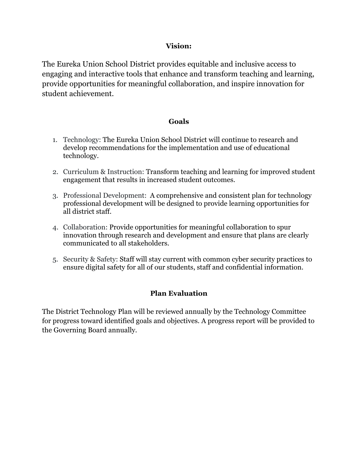### **Vision:**

<span id="page-2-0"></span>The Eureka Union School District provides equitable and inclusive access to engaging and interactive tools that enhance and transform teaching and learning, provide opportunities for meaningful collaboration, and inspire innovation for student achievement.

### **Goals**

- <span id="page-2-1"></span>1. Technology: The Eureka Union School District will continue to research and develop recommendations for the implementation and use of educational technology.
- 2. Curriculum & Instruction: Transform teaching and learning for improved student engagement that results in increased student outcomes.
- 3. Professional Development: A comprehensive and consistent plan for technology professional development will be designed to provide learning opportunities for all district staff.
- 4. Collaboration: Provide opportunities for meaningful collaboration to spur innovation through research and development and ensure that plans are clearly communicated to all stakeholders.
- 5. Security & Safety: Staff will stay current with common cyber security practices to ensure digital safety for all of our students, staff and confidential information.

### **Plan Evaluation**

The District Technology Plan will be reviewed annually by the Technology Committee for progress toward identified goals and objectives. A progress report will be provided to the Governing Board annually.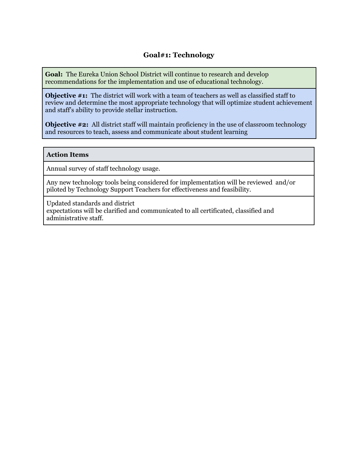### **Goal#1: Technology**

<span id="page-3-0"></span>**Goal:** The Eureka Union School District will continue to research and develop recommendations for the implementation and use of educational technology.

**Objective #1:** The district will work with a team of teachers as well as classified staff to review and determine the most appropriate technology that will optimize student achievement and staff's ability to provide stellar instruction.

**Objective #2:** All district staff will maintain proficiency in the use of classroom technology and resources to teach, assess and communicate about student learning

#### **Action Items**

Annual survey of staff technology usage.

Any new technology tools being considered for implementation will be reviewed and/or piloted by Technology Support Teachers for effectiveness and feasibility.

Updated standards and district expectations will be clarified and communicated to all certificated, classified and administrative staff.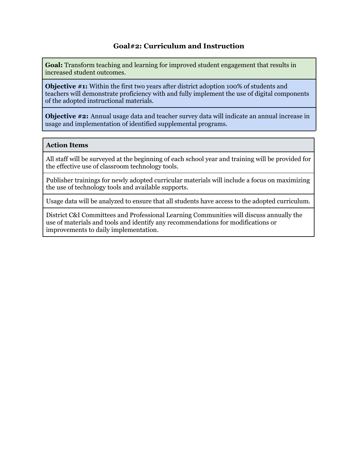<span id="page-4-0"></span>**Goal:** Transform teaching and learning for improved student engagement that results in increased student outcomes.

**Objective #1:** Within the first two years after district adoption 100% of students and teachers will demonstrate proficiency with and fully implement the use of digital components of the adopted instructional materials.

**Objective #2:** Annual usage data and teacher survey data will indicate an annual increase in usage and implementation of identified supplemental programs.

#### **Action Items**

All staff will be surveyed at the beginning of each school year and training will be provided for the effective use of classroom technology tools.

Publisher trainings for newly adopted curricular materials will include a focus on maximizing the use of technology tools and available supports.

Usage data will be analyzed to ensure that all students have access to the adopted curriculum.

District C&I Committees and Professional Learning Communities will discuss annually the use of materials and tools and identify any recommendations for modifications or improvements to daily implementation.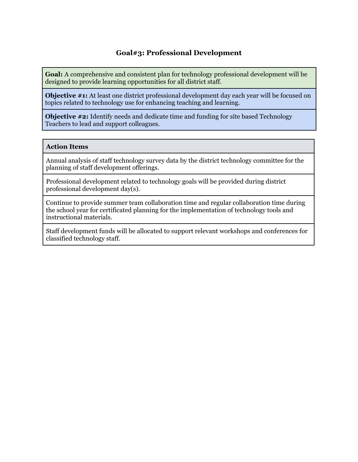### **Goal#3: Professional Development**

<span id="page-5-0"></span>**Goal:** A comprehensive and consistent plan for technology professional development will be designed to provide learning opportunities for all district staff.

**Objective #1:** At least one district professional development day each year will be focused on topics related to technology use for enhancing teaching and learning.

**Objective #2:** Identify needs and dedicate time and funding for site based Technology Teachers to lead and support colleagues.

#### **Action Items**

Annual analysis of staff technology survey data by the district technology committee for the planning of staff development offerings.

Professional development related to technology goals will be provided during district professional development day(s).

Continue to provide summer team collaboration time and regular collaboration time during the school year for certificated planning for the implementation of technology tools and instructional materials.

Staff development funds will be allocated to support relevant workshops and conferences for classified technology staff.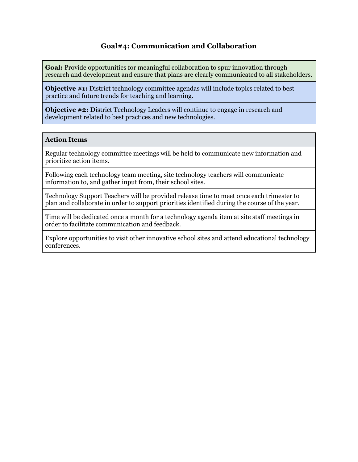<span id="page-6-0"></span>**Goal:** Provide opportunities for meaningful collaboration to spur innovation through research and development and ensure that plans are clearly communicated to all stakeholders.

**Objective #1:** District technology committee agendas will include topics related to best practice and future trends for teaching and learning.

**Objective #2: D**istrict Technology Leaders will continue to engage in research and development related to best practices and new technologies.

#### **Action Items**

Regular technology committee meetings will be held to communicate new information and prioritize action items.

Following each technology team meeting, site technology teachers will communicate information to, and gather input from, their school sites.

Technology Support Teachers will be provided release time to meet once each trimester to plan and collaborate in order to support priorities identified during the course of the year.

Time will be dedicated once a month for a technology agenda item at site staff meetings in order to facilitate communication and feedback.

Explore opportunities to visit other innovative school sites and attend educational technology conferences.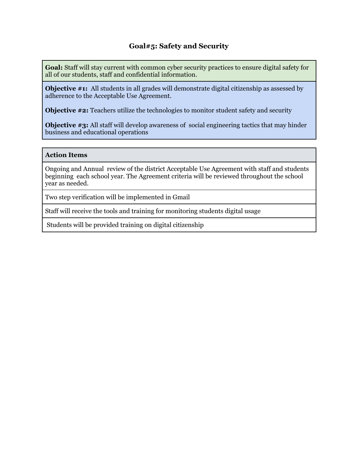**Goal:** Staff will stay current with common cyber security practices to ensure digital safety for all of our students, staff and confidential information.

**Objective #1:** All students in all grades will demonstrate digital citizenship as assessed by adherence to the Acceptable Use Agreement.

**Objective #2:** Teachers utilize the technologies to monitor student safety and security

**Objective #3:** All staff will develop awareness of social engineering tactics that may hinder business and educational operations

#### **Action Items**

Ongoing and Annual review of the district Acceptable Use Agreement with staff and students beginning each school year. The Agreement criteria will be reviewed throughout the school year as needed.

Two step verification will be implemented in Gmail

Staff will receive the tools and training for monitoring students digital usage

Students will be provided training on digital citizenship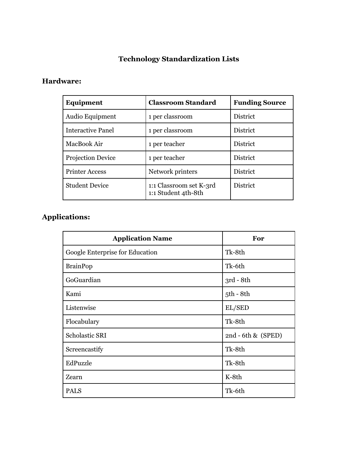# **Technology Standardization Lists**

## <span id="page-8-1"></span><span id="page-8-0"></span>**Hardware:**

| Equipment                | <b>Classroom Standard</b>                      | <b>Funding Source</b> |  |
|--------------------------|------------------------------------------------|-----------------------|--|
| Audio Equipment          | 1 per classroom                                | <b>District</b>       |  |
| <b>Interactive Panel</b> | 1 per classroom                                | District              |  |
| MacBook Air              | 1 per teacher                                  | <b>District</b>       |  |
| Projection Device        | 1 per teacher                                  | <b>District</b>       |  |
| <b>Printer Access</b>    | Network printers                               | District              |  |
| <b>Student Device</b>    | 1:1 Classroom set K-3rd<br>1:1 Student 4th-8th | District              |  |

## <span id="page-8-2"></span>**Applications:**

| <b>Application Name</b>         | For                   |  |  |
|---------------------------------|-----------------------|--|--|
| Google Enterprise for Education | Tk-8th                |  |  |
| <b>BrainPop</b>                 | Tk-6th                |  |  |
| GoGuardian                      | $3rd - 8th$           |  |  |
| Kami                            | 5th - 8th             |  |  |
| Listenwise                      | EL/SED                |  |  |
| Flocabulary                     | Tk-8th                |  |  |
| Scholastic SRI                  | $2nd - 6th \& (SPED)$ |  |  |
| Screencastify                   | Tk-8th                |  |  |
| EdPuzzle                        | Tk-8th                |  |  |
| Zearn                           | K-8th                 |  |  |
| <b>PALS</b>                     | Tk-6th                |  |  |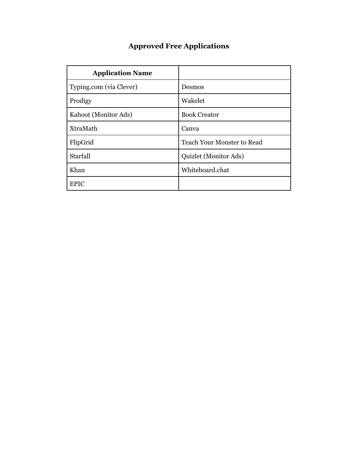# **Approved Free Applications**

| <b>Application Name</b> |                                   |
|-------------------------|-----------------------------------|
| Typing.com (via Clever) | Desmos                            |
| Prodigy                 | Wakelet                           |
| Kahoot (Monitor Ads)    | <b>Book Creator</b>               |
| XtraMath                | Canva                             |
| FlipGrid                | <b>Teach Your Monster to Read</b> |
| Starfall                | Quizlet (Monitor Ads)             |
| Khan                    | Whiteboard.chat                   |
| EPIC                    |                                   |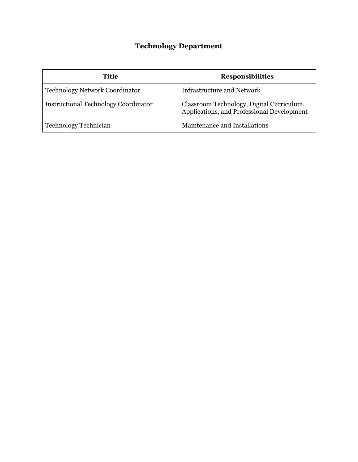# **Technology Department**

<span id="page-10-0"></span>

| <b>Title</b>                                | <b>Responsibilities</b>                                                                 |  |  |
|---------------------------------------------|-----------------------------------------------------------------------------------------|--|--|
| <b>Technology Network Coordinator</b>       | <b>Infrastructure and Network</b>                                                       |  |  |
| <b>Instructional Technology Coordinator</b> | Classroom Technology, Digital Curriculum,<br>Applications, and Professional Development |  |  |
| <b>Technology Technician</b>                | Maintenance and Installations                                                           |  |  |